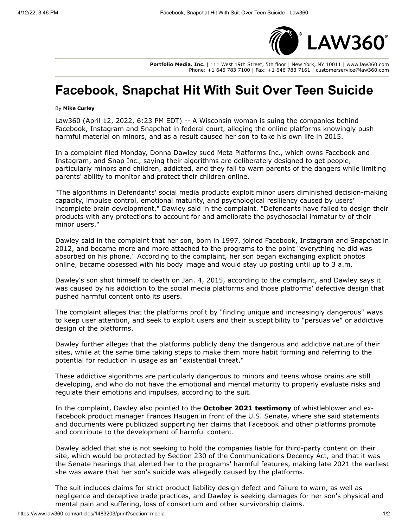

**Portfolio Media. Inc.** | 111 West 19th Street, 5th floor | New York, NY 10011 | www.law360.com Phone: +1 646 783 7100 | Fax: +1 646 783 7161 | customerservice@law360.com

## **Facebook, Snapchat Hit With Suit Over Teen Suicide**

## By **Mike Curley**

Law360 (April 12, 2022, 6:23 PM EDT) -- A Wisconsin woman is suing the companies behind Facebook, [Instagram](https://www.law360.com/companies/instagram-inc) and Snapchat in federal court, alleging the online platforms knowingly push harmful material on minors, and as a result caused her son to take his own life in 2015.

In a [complaint](https://assets.law360news.com/1483000/1483203/https-ecf-wied-uscourts-gov-doc1-20314880743.pdf) filed Monday, Donna Dawley sued [Meta Platforms Inc](https://www.law360.com/companies/meta-platforms-inc)., which owns Facebook and Instagram, and [Snap Inc](https://www.law360.com/companies/snap-inc)., saying their algorithms are deliberately designed to get people, particularly minors and children, addicted, and they fail to warn parents of the dangers while limiting parents' ability to monitor and protect their children online.

"The algorithms in Defendants' social media products exploit minor users diminished decision-making capacity, impulse control, emotional maturity, and psychological resiliency caused by users' incomplete brain development," Dawley said in the complaint. "Defendants have failed to design their products with any protections to account for and ameliorate the psychosocial immaturity of their minor users."

Dawley said in the complaint that her son, born in 1997, joined Facebook, Instagram and Snapchat in 2012, and became more and more attached to the programs to the point "everything he did was absorbed on his phone." According to the complaint, her son began exchanging explicit photos online, became obsessed with his body image and would stay up posting until up to 3 a.m.

Dawley's son shot himself to death on Jan. 4, 2015, according to the complaint, and Dawley says it was caused by his addiction to the social media platforms and those platforms' defective design that pushed harmful content onto its users.

The complaint alleges that the platforms profit by "finding unique and increasingly dangerous" ways to keep user attention, and seek to exploit users and their susceptibility to "persuasive" or addictive design of the platforms.

Dawley further alleges that the platforms publicly deny the dangerous and addictive nature of their sites, while at the same time taking steps to make them more habit forming and referring to the potential for reduction in usage as an "existential threat."

These addictive algorithms are particularly dangerous to minors and teens whose brains are still developing, and who do not have the emotional and mental maturity to properly evaluate risks and regulate their emotions and impulses, according to the suit.

In the complaint, Dawley also pointed to the **[October 2021 testimony](https://www.law360.com/articles/1428087)** of whistleblower and ex-Facebook product manager Frances Haugen in front of the [U.S. Senate,](https://www.law360.com/agencies/u-s-senate) where she said statements and documents were publicized supporting her claims that Facebook and other platforms promote and contribute to the development of harmful content.

Dawley added that she is not seeking to hold the companies liable for third-party content on their site, which would be protected by Section 230 of the Communications Decency Act, and that it was the Senate hearings that alerted her to the programs' harmful features, making late 2021 the earliest she was aware that her son's suicide was allegedly caused by the platforms.

The suit includes claims for strict product liability design defect and failure to warn, as well as negligence and deceptive trade practices, and Dawley is seeking damages for her son's physical and mental pain and suffering, loss of consortium and other survivorship claims.